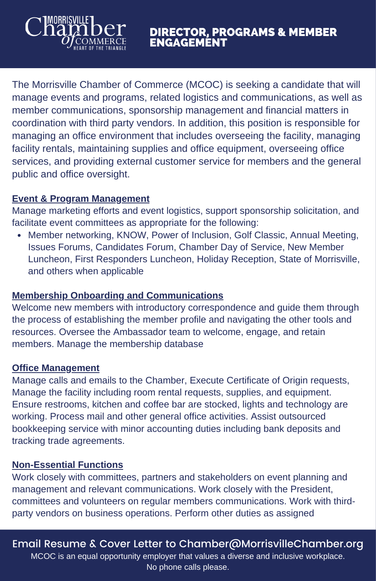The Morrisville Chamber of Commerce (MCOC) is seeking a candidate that will manage events and programs, related logistics and communications, as well as member communications, sponsorship management and financial matters in coordination with third party vendors. In addition, this position is responsible for managing an office environment that includes overseeing the facility, managing facility rentals, maintaining supplies and office equipment, overseeing office services, and providing external customer service for members and the general public and office oversight.

#### **Event & Program Management**

MORRISVILLE

Manage marketing efforts and event logistics, support sponsorship solicitation, and facilitate event committees as appropriate for the following:

Member networking, KNOW, Power of Inclusion, Golf Classic, Annual Meeting, Issues Forums, Candidates Forum, Chamber Day of Service, New Member Luncheon, First Responders Luncheon, Holiday Reception, State of Morrisville, and others when applicable

#### **Membership Onboarding and Communications**

Welcome new members with introductory correspondence and guide them through the process of establishing the member profile and navigating the other tools and resources. Oversee the Ambassador team to welcome, engage, and retain members. Manage the membership database

#### **Office Management**

Manage calls and emails to the Chamber, Execute Certificate of Origin requests, Manage the facility including room rental requests, supplies, and equipment. Ensure restrooms, kitchen and coffee bar are stocked, lights and technology are working. Process mail and other general office activities. Assist outsourced bookkeeping service with minor accounting duties including bank deposits and tracking trade agreements.

#### **Non-Essential Functions**

Work closely with committees, partners and stakeholders on event planning and management and relevant communications. Work closely with the President, committees and volunteers on regular members communications. Work with thirdparty vendors on business operations. Perform other duties as assigned

Email Resume & Cover Letter to Chamber@MorrisvilleChamber.org

MCOC is an equal opportunity employer that values a diverse and inclusive workplace. No phone calls please.